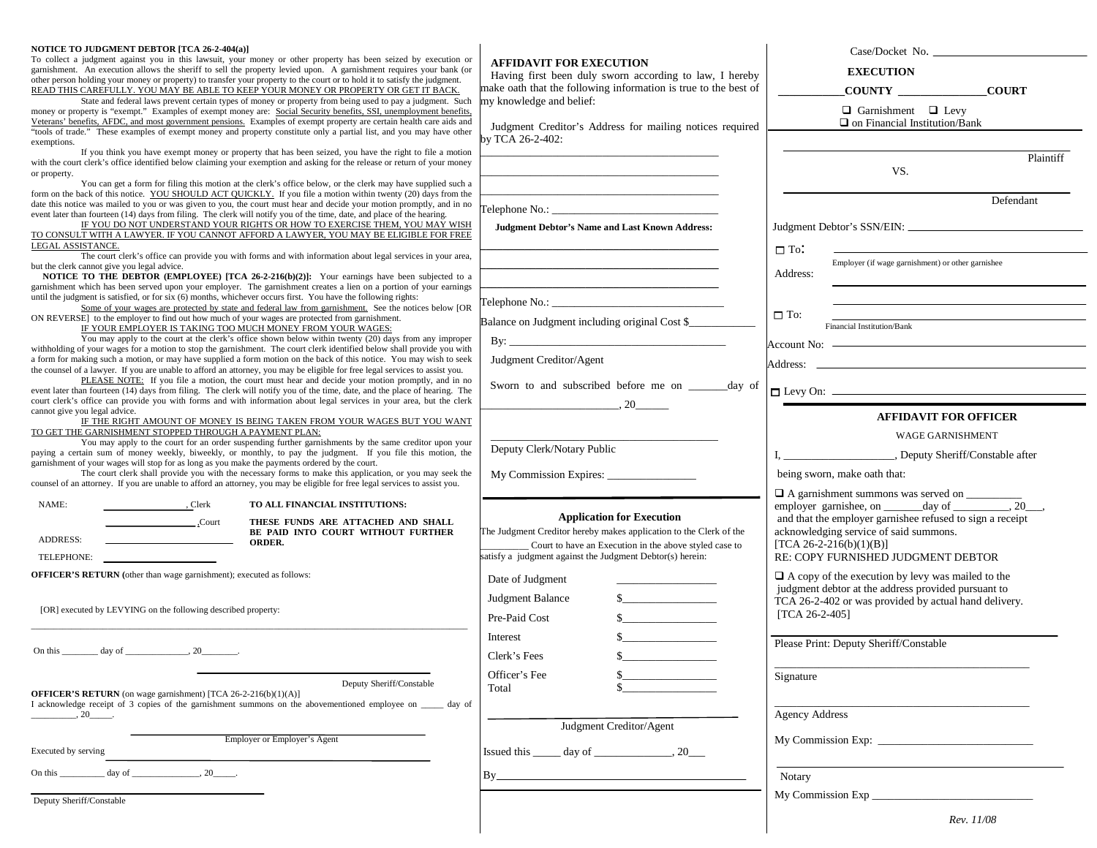| NOTICE TO JUDGMENT DEBTOR [TCA 26-2-404(a)]<br>To collect a judgment against you in this lawsuit, your money or other property has been seized by execution or<br>garnishment. An execution allows the sheriff to sell the property levied upon. A garnishment requires your bank (or<br>other person holding your money or property) to transfer your property to the court or to hold it to satisfy the judgment.<br>READ THIS CAREFULLY. YOU MAY BE ABLE TO KEEP YOUR MONEY OR PROPERTY OR GET IT BACK.<br>State and federal laws prevent certain types of money or property from being used to pay a judgment. Such<br>money or property is "exempt." Examples of exempt money are: Social Security benefits, SSI, unemployment benefits,<br>Veterans' benefits, AFDC, and most government pensions. Examples of exempt property are certain health care aids and<br>"tools of trade." These examples of exempt money and property constitute only a partial list, and you may have other<br>exemptions.<br>If you think you have exempt money or property that has been seized, you have the right to file a motion | <b>AFFIDAVIT FOR EXECUTION</b><br>Having first been duly sworn according to law, I hereby<br>make oath that the following information is true to the best of<br>my knowledge and belief:<br>Judgment Creditor's Address for mailing notices required<br>v TCA 26-2-402: | Case/Docket No.<br><b>EXECUTION</b><br><b>COUNTY</b><br><b>COURT</b><br>$\Box$ Garnishment $\Box$ Levy<br>$\Box$ on Financial Institution/Bank                                                                                   |  |  |
|--------------------------------------------------------------------------------------------------------------------------------------------------------------------------------------------------------------------------------------------------------------------------------------------------------------------------------------------------------------------------------------------------------------------------------------------------------------------------------------------------------------------------------------------------------------------------------------------------------------------------------------------------------------------------------------------------------------------------------------------------------------------------------------------------------------------------------------------------------------------------------------------------------------------------------------------------------------------------------------------------------------------------------------------------------------------------------------------------------------------------|-------------------------------------------------------------------------------------------------------------------------------------------------------------------------------------------------------------------------------------------------------------------------|----------------------------------------------------------------------------------------------------------------------------------------------------------------------------------------------------------------------------------|--|--|
| with the court clerk's office identified below claiming your exemption and asking for the release or return of your money<br>or property.<br>You can get a form for filing this motion at the clerk's office below, or the clerk may have supplied such a                                                                                                                                                                                                                                                                                                                                                                                                                                                                                                                                                                                                                                                                                                                                                                                                                                                                |                                                                                                                                                                                                                                                                         | Plaintiff<br>VS.                                                                                                                                                                                                                 |  |  |
| form on the back of this notice. YOU SHOULD ACT QUICKLY. If you file a motion within twenty (20) days from the<br>date this notice was mailed to you or was given to you, the court must hear and decide your motion promptly, and in no<br>event later than fourteen (14) days from filing. The clerk will notify you of the time, date, and place of the hearing.<br>IF YOU DO NOT UNDERSTAND YOUR RIGHTS OR HOW TO EXERCISE THEM, YOU MAY WISH<br>TO CONSULT WITH A LAWYER. IF YOU CANNOT AFFORD A LAWYER, YOU MAY BE ELIGIBLE FOR FREE<br>LEGAL ASSISTANCE.                                                                                                                                                                                                                                                                                                                                                                                                                                                                                                                                                          | Telephone No.: No.:<br><b>Judgment Debtor's Name and Last Known Address:</b>                                                                                                                                                                                            | Defendant                                                                                                                                                                                                                        |  |  |
| The court clerk's office can provide you with forms and with information about legal services in your area,<br>but the clerk cannot give you legal advice.<br>NOTICE TO THE DEBTOR (EMPLOYEE) [TCA 26-2-216(b)(2)]: Your earnings have been subjected to a<br>garnishment which has been served upon your employer. The garnishment creates a lien on a portion of your earnings                                                                                                                                                                                                                                                                                                                                                                                                                                                                                                                                                                                                                                                                                                                                         |                                                                                                                                                                                                                                                                         | $\Box$ To:<br>Employer (if wage garnishment) or other garnishee<br>Address:                                                                                                                                                      |  |  |
| until the judgment is satisfied, or for six (6) months, whichever occurs first. You have the following rights:<br>Some of your wages are protected by state and federal law from garnishment. See the notices below [OR<br>ON REVERSE] to the employer to find out how much of your wages are protected from garnishment.<br>IF YOUR EMPLOYER IS TAKING TOO MUCH MONEY FROM YOUR WAGES:<br>You may apply to the court at the clerk's office shown below within twenty (20) days from any improper                                                                                                                                                                                                                                                                                                                                                                                                                                                                                                                                                                                                                        | Balance on Judgment including original Cost \$                                                                                                                                                                                                                          | $\Box$ To:<br>Financial Institution/Bank                                                                                                                                                                                         |  |  |
| withholding of your wages for a motion to stop the garnishment. The court clerk identified below shall provide you with<br>a form for making such a motion, or may have supplied a form motion on the back of this notice. You may wish to seek<br>the counsel of a lawyer. If you are unable to afford an attorney, you may be eligible for free legal services to assist you.<br>PLEASE NOTE: If you file a motion, the court must hear and decide your motion promptly, and in no                                                                                                                                                                                                                                                                                                                                                                                                                                                                                                                                                                                                                                     | Judgment Creditor/Agent                                                                                                                                                                                                                                                 |                                                                                                                                                                                                                                  |  |  |
| event later than fourteen (14) days from filing. The clerk will notify you of the time, date, and the place of hearing. The<br>court clerk's office can provide you with forms and with information about legal services in your area, but the clerk<br>cannot give you legal advice.<br>IF THE RIGHT AMOUNT OF MONEY IS BEING TAKEN FROM YOUR WAGES BUT YOU WANT                                                                                                                                                                                                                                                                                                                                                                                                                                                                                                                                                                                                                                                                                                                                                        | Sworn to and subscribed before me on _______ day of<br>$\sim 20$                                                                                                                                                                                                        | $\Box$ Levy On: $\Box$<br><b>AFFIDAVIT FOR OFFICER</b>                                                                                                                                                                           |  |  |
| TO GET THE GARNISHMENT STOPPED THROUGH A PAYMENT PLAN:<br>You may apply to the court for an order suspending further garnishments by the same creditor upon your<br>paying a certain sum of money weekly, biweekly, or monthly, to pay the judgment. If you file this motion, the<br>garnishment of your wages will stop for as long as you make the payments ordered by the court.                                                                                                                                                                                                                                                                                                                                                                                                                                                                                                                                                                                                                                                                                                                                      | Deputy Clerk/Notary Public                                                                                                                                                                                                                                              | <b>WAGE GARNISHMENT</b><br>I, __________________________, Deputy Sheriff/Constable after                                                                                                                                         |  |  |
| The court clerk shall provide you with the necessary forms to make this application, or you may seek the<br>counsel of an attorney. If you are unable to afford an attorney, you may be eligible for free legal services to assist you.<br>NAME:                                                                                                                                                                                                                                                                                                                                                                                                                                                                                                                                                                                                                                                                                                                                                                                                                                                                         |                                                                                                                                                                                                                                                                         | being sworn, make oath that:<br>□ A garnishment summons was served on _________                                                                                                                                                  |  |  |
| $\overline{\phantom{a}}$ , Clerk<br>TO ALL FINANCIAL INSTITUTIONS:<br>.Court<br>THESE FUNDS ARE ATTACHED AND SHALL<br>BE PAID INTO COURT WITHOUT FURTHER<br>ADDRESS:<br>ORDER.                                                                                                                                                                                                                                                                                                                                                                                                                                                                                                                                                                                                                                                                                                                                                                                                                                                                                                                                           | <b>Application for Execution</b><br>The Judgment Creditor hereby makes application to the Clerk of the<br>Court to have an Execution in the above styled case to                                                                                                        | employer garnishee, on _______ day of _________, 20___,<br>and that the employer garnishee refused to sign a receipt<br>acknowledging service of said summons.<br>$[TCA 26-2-216(b)(1)(B)]$                                      |  |  |
| TELEPHONE:<br><b>OFFICER'S RETURN</b> (other than wage garnishment); executed as follows:                                                                                                                                                                                                                                                                                                                                                                                                                                                                                                                                                                                                                                                                                                                                                                                                                                                                                                                                                                                                                                | satisfy a judgment against the Judgment Debtor(s) herein:<br>Date of Judgment                                                                                                                                                                                           | RE: COPY FURNISHED JUDGMENT DEBTOR<br>$\Box$ A copy of the execution by levy was mailed to the<br>judgment debtor at the address provided pursuant to<br>TCA 26-2-402 or was provided by actual hand delivery.<br>[TCA 26-2-405] |  |  |
| [OR] executed by LEVYING on the following described property:                                                                                                                                                                                                                                                                                                                                                                                                                                                                                                                                                                                                                                                                                                                                                                                                                                                                                                                                                                                                                                                            | s<br>Judgment Balance<br>s<br>Pre-Paid Cost                                                                                                                                                                                                                             |                                                                                                                                                                                                                                  |  |  |
| On this $\_\_\_\_$ day of $\_\_\_\_\_\_$ , 20 $\_\_\_\_\_\_$ .                                                                                                                                                                                                                                                                                                                                                                                                                                                                                                                                                                                                                                                                                                                                                                                                                                                                                                                                                                                                                                                           | Interest<br>Clerk's Fees<br>\$                                                                                                                                                                                                                                          | Please Print: Deputy Sheriff/Constable                                                                                                                                                                                           |  |  |
| Deputy Sheriff/Constable<br><b>OFFICER'S RETURN</b> (on wage garnishment) [TCA 26-2-216(b)(1)(A)]<br>I acknowledge receipt of 3 copies of the garnishment summons on the abovementioned employee on day of                                                                                                                                                                                                                                                                                                                                                                                                                                                                                                                                                                                                                                                                                                                                                                                                                                                                                                               | Officer's Fee<br>Total                                                                                                                                                                                                                                                  | Signature                                                                                                                                                                                                                        |  |  |
| $\frac{1}{20}$ .<br>Employer or Employer's Agent                                                                                                                                                                                                                                                                                                                                                                                                                                                                                                                                                                                                                                                                                                                                                                                                                                                                                                                                                                                                                                                                         | Judgment Creditor/Agent                                                                                                                                                                                                                                                 | <b>Agency Address</b>                                                                                                                                                                                                            |  |  |
| Executed by serving<br>$\frac{\text{day of}}{\text{day of}}$ .<br>On this $\frac{1}{2}$                                                                                                                                                                                                                                                                                                                                                                                                                                                                                                                                                                                                                                                                                                                                                                                                                                                                                                                                                                                                                                  | Issued this $\_\_\_\$ day of $\_\_\_\_\_\$ , 20 $\_\_\_\$                                                                                                                                                                                                               | Notary                                                                                                                                                                                                                           |  |  |
| Deputy Sheriff/Constable                                                                                                                                                                                                                                                                                                                                                                                                                                                                                                                                                                                                                                                                                                                                                                                                                                                                                                                                                                                                                                                                                                 |                                                                                                                                                                                                                                                                         | My Commission Exp<br>Rev. 11/08                                                                                                                                                                                                  |  |  |